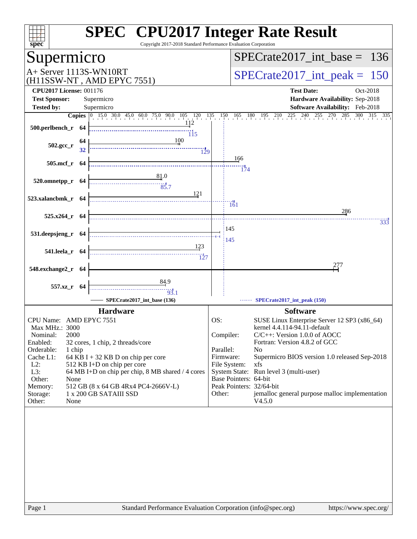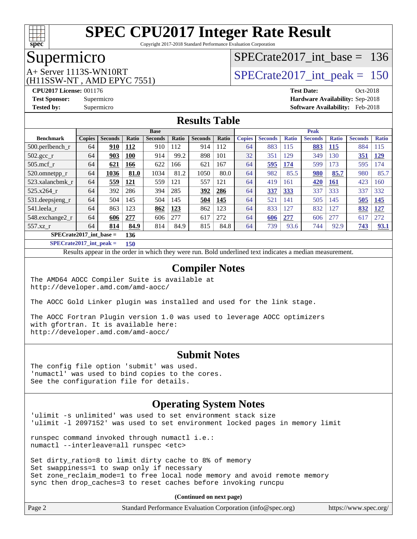

Copyright 2017-2018 Standard Performance Evaluation Corporation

### Supermicro

(H11SSW-NT , AMD EPYC 7551)

# [SPECrate2017\\_int\\_base =](http://www.spec.org/auto/cpu2017/Docs/result-fields.html#SPECrate2017intbase) 136

# $A+$  Server 1113S-WN10RT  $S$ PECrate2017\_int\_peak = 150

**[CPU2017 License:](http://www.spec.org/auto/cpu2017/Docs/result-fields.html#CPU2017License)** 001176 **[Test Date:](http://www.spec.org/auto/cpu2017/Docs/result-fields.html#TestDate)** Oct-2018 **[Test Sponsor:](http://www.spec.org/auto/cpu2017/Docs/result-fields.html#TestSponsor)** Supermicro **[Hardware Availability:](http://www.spec.org/auto/cpu2017/Docs/result-fields.html#HardwareAvailability)** Sep-2018 **[Tested by:](http://www.spec.org/auto/cpu2017/Docs/result-fields.html#Testedby)** Supermicro **[Software Availability:](http://www.spec.org/auto/cpu2017/Docs/result-fields.html#SoftwareAvailability)** Feb-2018

### **[Results Table](http://www.spec.org/auto/cpu2017/Docs/result-fields.html#ResultsTable)**

|                           |               |                |       | <b>Base</b>    |              |                |       |               |                |              | <b>Peak</b>    |              |                |              |
|---------------------------|---------------|----------------|-------|----------------|--------------|----------------|-------|---------------|----------------|--------------|----------------|--------------|----------------|--------------|
| <b>Benchmark</b>          | <b>Copies</b> | <b>Seconds</b> | Ratio | <b>Seconds</b> | <b>Ratio</b> | <b>Seconds</b> | Ratio | <b>Copies</b> | <b>Seconds</b> | <b>Ratio</b> | <b>Seconds</b> | <b>Ratio</b> | <b>Seconds</b> | <b>Ratio</b> |
| 500.perlbench_r           | 64            | 910            | 112   | 910            | 112          | 914            | 112   | 64            | 883            | 115          | 883            | 115          | 884            | 115          |
| $502.\text{gcc}_{r}$      | 64            | 903            | 100   | 914            | 99.2         | 898            | 101   | 32            | 351            | 129          | 349            | 130          | 351            | <u>129</u>   |
| $505$ .mcf r              | 64            | 621            | 166   | 622            | 166          | 621            | 167   | 64            | 595            | 174          | 599            | 173          | 595            | 74           |
| 520.omnetpp_r             | 64            | 1036           | 81.0  | 1034           | 81.2         | 1050           | 80.0  | 64            | 982            | 85.5         | 980            | 85.7         | 980            | 85.7         |
| 523.xalancbmk r           | 64            | 559            | 121   | 559            | 121          | 557            | 121   | 64            | 419            | 161          | 420            | <b>161</b>   | 423            | 160          |
| $525.x264$ r              | 64            | 392            | 286   | 394            | 285          | 392            | 286   | 64            | 337            | <b>333</b>   | 337            | 333          | 337            | 332          |
| 531.deepsjeng_r           | 64            | 504            | 145   | 504            | 145          | 504            | 145   | 64            | 521            | 141          | 505            | 145          | 505            | 145          |
| 541.leela r               | 64            | 863            | 123   | 862            | 123          | 862            | 123   | 64            | 833            | 127          | 832            | 127          | 832            | <u>127</u>   |
| 548.exchange2_r           | 64            | 606            | 277   | 606            | 277          | 617            | 272   | 64            | 606            | 277          | 606            | 277          | 617            | 272          |
| $557.xz$ r                | 64            | 814            | 84.9  | 814            | 84.9         | 815            | 84.8  | 64            | 739            | 93.6         | 744            | 92.9         | 743            | 93.1         |
| $SPECrate2017$ int base = |               |                | 136   |                |              |                |       |               |                |              |                |              |                |              |

**[SPECrate2017\\_int\\_peak =](http://www.spec.org/auto/cpu2017/Docs/result-fields.html#SPECrate2017intpeak) 150**

Results appear in the [order in which they were run.](http://www.spec.org/auto/cpu2017/Docs/result-fields.html#RunOrder) Bold underlined text [indicates a median measurement.](http://www.spec.org/auto/cpu2017/Docs/result-fields.html#Median)

#### **[Compiler Notes](http://www.spec.org/auto/cpu2017/Docs/result-fields.html#CompilerNotes)**

The AMD64 AOCC Compiler Suite is available at <http://developer.amd.com/amd-aocc/>

The AOCC Gold Linker plugin was installed and used for the link stage.

The AOCC Fortran Plugin version 1.0 was used to leverage AOCC optimizers with gfortran. It is available here: <http://developer.amd.com/amd-aocc/>

#### **[Submit Notes](http://www.spec.org/auto/cpu2017/Docs/result-fields.html#SubmitNotes)**

The config file option 'submit' was used. 'numactl' was used to bind copies to the cores. See the configuration file for details.

#### **[Operating System Notes](http://www.spec.org/auto/cpu2017/Docs/result-fields.html#OperatingSystemNotes)**

'ulimit -s unlimited' was used to set environment stack size 'ulimit -l 2097152' was used to set environment locked pages in memory limit

runspec command invoked through numactl i.e.: numactl --interleave=all runspec <etc>

Set dirty\_ratio=8 to limit dirty cache to 8% of memory Set swappiness=1 to swap only if necessary Set zone\_reclaim\_mode=1 to free local node memory and avoid remote memory sync then drop\_caches=3 to reset caches before invoking runcpu

**(Continued on next page)**

| Page 2 | Standard Performance Evaluation Corporation (info@spec.org) | https://www.spec.org/ |
|--------|-------------------------------------------------------------|-----------------------|
|--------|-------------------------------------------------------------|-----------------------|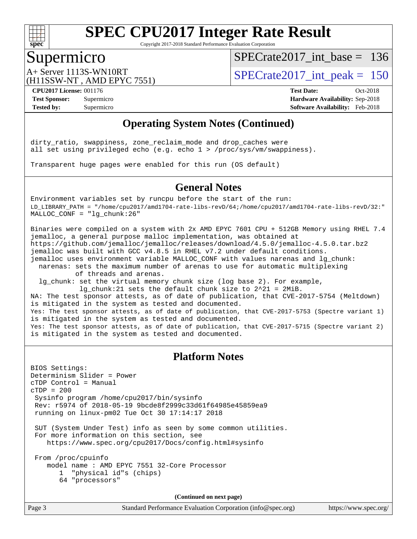

Copyright 2017-2018 Standard Performance Evaluation Corporation

### Supermicro

[SPECrate2017\\_int\\_base =](http://www.spec.org/auto/cpu2017/Docs/result-fields.html#SPECrate2017intbase) 136

(H11SSW-NT , AMD EPYC 7551)

 $A+$  Server 1113S-WN10RT  $S$ PECrate2017\_int\_peak = 150

**[CPU2017 License:](http://www.spec.org/auto/cpu2017/Docs/result-fields.html#CPU2017License)** 001176 **[Test Date:](http://www.spec.org/auto/cpu2017/Docs/result-fields.html#TestDate)** Oct-2018 **[Test Sponsor:](http://www.spec.org/auto/cpu2017/Docs/result-fields.html#TestSponsor)** Supermicro **[Hardware Availability:](http://www.spec.org/auto/cpu2017/Docs/result-fields.html#HardwareAvailability)** Sep-2018 **[Tested by:](http://www.spec.org/auto/cpu2017/Docs/result-fields.html#Testedby)** Supermicro **[Software Availability:](http://www.spec.org/auto/cpu2017/Docs/result-fields.html#SoftwareAvailability)** Feb-2018

### **[Operating System Notes \(Continued\)](http://www.spec.org/auto/cpu2017/Docs/result-fields.html#OperatingSystemNotes)**

dirty\_ratio, swappiness, zone\_reclaim\_mode and drop\_caches were all set using privileged echo (e.g. echo 1 > /proc/sys/vm/swappiness).

Transparent huge pages were enabled for this run (OS default)

#### **[General Notes](http://www.spec.org/auto/cpu2017/Docs/result-fields.html#GeneralNotes)**

Environment variables set by runcpu before the start of the run: LD\_LIBRARY\_PATH = "/home/cpu2017/amd1704-rate-libs-revD/64;/home/cpu2017/amd1704-rate-libs-revD/32:" MALLOC\_CONF = "lg\_chunk:26"

Binaries were compiled on a system with 2x AMD EPYC 7601 CPU + 512GB Memory using RHEL 7.4 jemalloc, a general purpose malloc implementation, was obtained at <https://github.com/jemalloc/jemalloc/releases/download/4.5.0/jemalloc-4.5.0.tar.bz2> jemalloc was built with GCC v4.8.5 in RHEL v7.2 under default conditions. jemalloc uses environment variable MALLOC\_CONF with values narenas and lg\_chunk:

 narenas: sets the maximum number of arenas to use for automatic multiplexing of threads and arenas.

 lg\_chunk: set the virtual memory chunk size (log base 2). For example, lg\_chunk:21 sets the default chunk size to 2^21 = 2MiB.

NA: The test sponsor attests, as of date of publication, that CVE-2017-5754 (Meltdown) is mitigated in the system as tested and documented. Yes: The test sponsor attests, as of date of publication, that CVE-2017-5753 (Spectre variant 1) is mitigated in the system as tested and documented. Yes: The test sponsor attests, as of date of publication, that CVE-2017-5715 (Spectre variant 2) is mitigated in the system as tested and documented.

#### **[Platform Notes](http://www.spec.org/auto/cpu2017/Docs/result-fields.html#PlatformNotes)**

BIOS Settings: Determinism Slider = Power cTDP Control = Manual  $CTDP = 200$  Sysinfo program /home/cpu2017/bin/sysinfo Rev: r5974 of 2018-05-19 9bcde8f2999c33d61f64985e45859ea9 running on linux-pm02 Tue Oct 30 17:14:17 2018 SUT (System Under Test) info as seen by some common utilities. For more information on this section, see <https://www.spec.org/cpu2017/Docs/config.html#sysinfo> From /proc/cpuinfo model name : AMD EPYC 7551 32-Core Processor 1 "physical id"s (chips) 64 "processors"

**(Continued on next page)**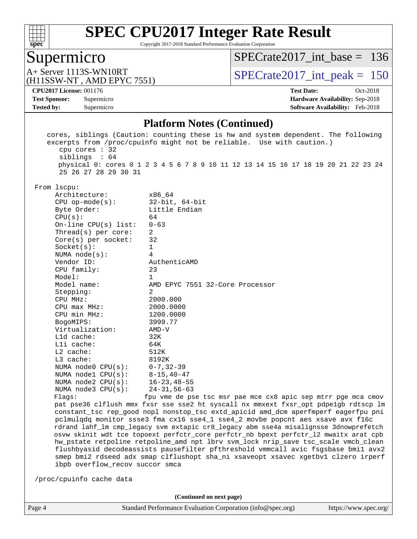

Copyright 2017-2018 Standard Performance Evaluation Corporation

# Supermicro<br>A+ Server 1113S-WN10RT

[SPECrate2017\\_int\\_base =](http://www.spec.org/auto/cpu2017/Docs/result-fields.html#SPECrate2017intbase) 136

(H11SSW-NT , AMD EPYC 7551)

 $SPECTate 2017\_int\_peak = 150$ 

**[Tested by:](http://www.spec.org/auto/cpu2017/Docs/result-fields.html#Testedby)** Supermicro **[Software Availability:](http://www.spec.org/auto/cpu2017/Docs/result-fields.html#SoftwareAvailability)** Feb-2018

**[CPU2017 License:](http://www.spec.org/auto/cpu2017/Docs/result-fields.html#CPU2017License)** 001176 **[Test Date:](http://www.spec.org/auto/cpu2017/Docs/result-fields.html#TestDate)** Oct-2018 **[Test Sponsor:](http://www.spec.org/auto/cpu2017/Docs/result-fields.html#TestSponsor)** Supermicro **[Hardware Availability:](http://www.spec.org/auto/cpu2017/Docs/result-fields.html#HardwareAvailability)** Sep-2018

#### **[Platform Notes \(Continued\)](http://www.spec.org/auto/cpu2017/Docs/result-fields.html#PlatformNotes)**

| $cpu$ cores : 32                                                                                                                                                                                                                                                | cores, siblings (Caution: counting these is hw and system dependent. The following<br>excerpts from /proc/cpuinfo might not be reliable. Use with caution.)                                                                                                                                                                                                                                                                                                                                                                                                                                                                                                                                                                                                                  |
|-----------------------------------------------------------------------------------------------------------------------------------------------------------------------------------------------------------------------------------------------------------------|------------------------------------------------------------------------------------------------------------------------------------------------------------------------------------------------------------------------------------------------------------------------------------------------------------------------------------------------------------------------------------------------------------------------------------------------------------------------------------------------------------------------------------------------------------------------------------------------------------------------------------------------------------------------------------------------------------------------------------------------------------------------------|
| siblings : 64                                                                                                                                                                                                                                                   | physical 0: cores 0 1 2 3 4 5 6 7 8 9 10 11 12 13 14 15 16 17 18 19 20 21 22 23 24                                                                                                                                                                                                                                                                                                                                                                                                                                                                                                                                                                                                                                                                                           |
| 25 26 27 28 29 30 31<br>From lscpu:<br>Architecture:<br>$CPU$ op-mode( $s$ ):<br>Byte Order:<br>CPU(s):<br>On-line CPU(s) list:<br>Thread( $s$ ) per core:<br>Core(s) per socket:<br>Socket(s):<br>NUMA node(s):<br>Vendor ID:<br>CPU family:<br>Model:         | x86 64<br>$32$ -bit, $64$ -bit<br>Little Endian<br>64<br>$0 - 63$<br>2<br>32<br>1<br>4<br>AuthenticAMD<br>23<br>$\mathbf 1$                                                                                                                                                                                                                                                                                                                                                                                                                                                                                                                                                                                                                                                  |
| Model name:<br>Stepping:<br>CPU MHz:<br>$CPU$ max $MHz$ :<br>CPU min MHz:<br>BogoMIPS:<br>Virtualization:<br>Lld cache:<br>Lli cache:<br>$L2$ cache:<br>L3 cache:<br>NUMA node0 CPU(s):<br>NUMA nodel $CPU(s):$<br>NUMA $node2$ $CPU(s):$<br>NUMA node3 CPU(s): | AMD EPYC 7551 32-Core Processor<br>2<br>2000.000<br>2000.0000<br>1200.0000<br>3999.77<br>$AMD-V$<br>32K<br>64K<br>512K<br>8192K<br>$0 - 7, 32 - 39$<br>$8 - 15, 40 - 47$<br>$16 - 23, 48 - 55$<br>$24 - 31, 56 - 63$                                                                                                                                                                                                                                                                                                                                                                                                                                                                                                                                                         |
| Flags:<br>ibpb overflow_recov succor smca<br>/proc/cpuinfo cache data                                                                                                                                                                                           | fpu vme de pse tsc msr pae mce cx8 apic sep mtrr pge mca cmov<br>pat pse36 clflush mmx fxsr sse sse2 ht syscall nx mmxext fxsr_opt pdpe1gb rdtscp lm<br>constant_tsc rep_good nopl nonstop_tsc extd_apicid amd_dcm aperfmperf eagerfpu pni<br>pclmulqdq monitor ssse3 fma cx16 sse4_1 sse4_2 movbe popcnt aes xsave avx f16c<br>rdrand lahf_lm cmp_legacy svm extapic cr8_legacy abm sse4a misalignsse 3dnowprefetch<br>osvw skinit wdt tce topoext perfctr_core perfctr_nb bpext perfctr_12 mwaitx arat cpb<br>hw_pstate retpoline retpoline_amd npt lbrv svm_lock nrip_save tsc_scale vmcb_clean<br>flushbyasid decodeassists pausefilter pfthreshold vmmcall avic fsgsbase bmil avx2<br>smep bmi2 rdseed adx smap clflushopt sha_ni xsaveopt xsavec xgetbvl clzero irperf |
|                                                                                                                                                                                                                                                                 | (Continued on next page)                                                                                                                                                                                                                                                                                                                                                                                                                                                                                                                                                                                                                                                                                                                                                     |
| Page 4                                                                                                                                                                                                                                                          | Standard Performance Evaluation Corporation (info@spec.org)<br>https://www.spec.org/                                                                                                                                                                                                                                                                                                                                                                                                                                                                                                                                                                                                                                                                                         |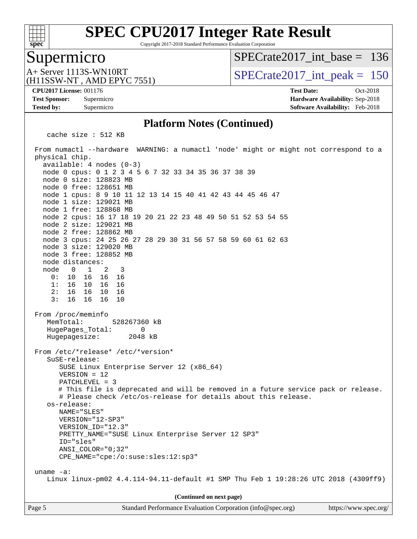

Copyright 2017-2018 Standard Performance Evaluation Corporation

### Supermicro

[SPECrate2017\\_int\\_base =](http://www.spec.org/auto/cpu2017/Docs/result-fields.html#SPECrate2017intbase) 136

(H11SSW-NT , AMD EPYC 7551)

 $A+$  Server 1113S-WN10RT  $S$ PECrate2017\_int\_peak = 150

**[CPU2017 License:](http://www.spec.org/auto/cpu2017/Docs/result-fields.html#CPU2017License)** 001176 **[Test Date:](http://www.spec.org/auto/cpu2017/Docs/result-fields.html#TestDate)** Oct-2018

**[Tested by:](http://www.spec.org/auto/cpu2017/Docs/result-fields.html#Testedby)** Supermicro **[Software Availability:](http://www.spec.org/auto/cpu2017/Docs/result-fields.html#SoftwareAvailability)** Feb-2018

**[Test Sponsor:](http://www.spec.org/auto/cpu2017/Docs/result-fields.html#TestSponsor)** Supermicro **[Hardware Availability:](http://www.spec.org/auto/cpu2017/Docs/result-fields.html#HardwareAvailability)** Sep-2018

#### **[Platform Notes \(Continued\)](http://www.spec.org/auto/cpu2017/Docs/result-fields.html#PlatformNotes)**

cache size : 512 KB

 From numactl --hardware WARNING: a numactl 'node' might or might not correspond to a physical chip. available: 4 nodes (0-3) node 0 cpus: 0 1 2 3 4 5 6 7 32 33 34 35 36 37 38 39 node 0 size: 128823 MB node 0 free: 128651 MB node 1 cpus: 8 9 10 11 12 13 14 15 40 41 42 43 44 45 46 47 node 1 size: 129021 MB node 1 free: 128868 MB node 2 cpus: 16 17 18 19 20 21 22 23 48 49 50 51 52 53 54 55 node 2 size: 129021 MB node 2 free: 128862 MB node 3 cpus: 24 25 26 27 28 29 30 31 56 57 58 59 60 61 62 63 node 3 size: 129020 MB node 3 free: 128852 MB node distances: node 0 1 2 3 0: 10 16 16 16 1: 16 10 16 16 2: 16 16 10 16 3: 16 16 16 10 From /proc/meminfo MemTotal: 528267360 kB HugePages\_Total: 0 Hugepagesize: 2048 kB From /etc/\*release\* /etc/\*version\* SuSE-release: SUSE Linux Enterprise Server 12 (x86\_64) VERSION = 12 PATCHLEVEL = 3 # This file is deprecated and will be removed in a future service pack or release. # Please check /etc/os-release for details about this release. os-release: NAME="SLES" VERSION="12-SP3" VERSION\_ID="12.3" PRETTY\_NAME="SUSE Linux Enterprise Server 12 SP3" ID="sles" ANSI\_COLOR="0;32" CPE\_NAME="cpe:/o:suse:sles:12:sp3" uname -a: Linux linux-pm02 4.4.114-94.11-default #1 SMP Thu Feb 1 19:28:26 UTC 2018 (4309ff9) **(Continued on next page)**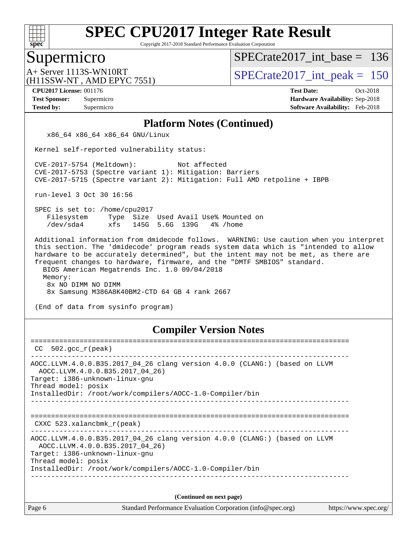

Copyright 2017-2018 Standard Performance Evaluation Corporation

### Supermicro

[SPECrate2017\\_int\\_base =](http://www.spec.org/auto/cpu2017/Docs/result-fields.html#SPECrate2017intbase) 136

(H11SSW-NT , AMD EPYC 7551)

 $A+$  Server 1113S-WN10RT  $\vert$  [SPECrate2017\\_int\\_peak =](http://www.spec.org/auto/cpu2017/Docs/result-fields.html#SPECrate2017intpeak) 150

**[CPU2017 License:](http://www.spec.org/auto/cpu2017/Docs/result-fields.html#CPU2017License)** 001176 **[Test Date:](http://www.spec.org/auto/cpu2017/Docs/result-fields.html#TestDate)** Oct-2018

**[Tested by:](http://www.spec.org/auto/cpu2017/Docs/result-fields.html#Testedby)** Supermicro **[Software Availability:](http://www.spec.org/auto/cpu2017/Docs/result-fields.html#SoftwareAvailability)** Feb-2018

**[Test Sponsor:](http://www.spec.org/auto/cpu2017/Docs/result-fields.html#TestSponsor)** Supermicro **[Hardware Availability:](http://www.spec.org/auto/cpu2017/Docs/result-fields.html#HardwareAvailability)** Sep-2018

#### **[Platform Notes \(Continued\)](http://www.spec.org/auto/cpu2017/Docs/result-fields.html#PlatformNotes)**

x86\_64 x86\_64 x86\_64 GNU/Linux

Kernel self-reported vulnerability status:

 CVE-2017-5754 (Meltdown): Not affected CVE-2017-5753 (Spectre variant 1): Mitigation: Barriers CVE-2017-5715 (Spectre variant 2): Mitigation: Full AMD retpoline + IBPB

run-level 3 Oct 30 16:56

 SPEC is set to: /home/cpu2017 Filesystem Type Size Used Avail Use% Mounted on /dev/sda4 xfs 145G 5.6G 139G 4% /home

 Additional information from dmidecode follows. WARNING: Use caution when you interpret this section. The 'dmidecode' program reads system data which is "intended to allow hardware to be accurately determined", but the intent may not be met, as there are frequent changes to hardware, firmware, and the "DMTF SMBIOS" standard. BIOS American Megatrends Inc. 1.0 09/04/2018 Memory: 8x NO DIMM NO DIMM 8x Samsung M386A8K40BM2-CTD 64 GB 4 rank 2667

(End of data from sysinfo program)

#### **[Compiler Version Notes](http://www.spec.org/auto/cpu2017/Docs/result-fields.html#CompilerVersionNotes)**

| CC.    | 502.gcc r(peak)                                                                                                                                                                                                                    |
|--------|------------------------------------------------------------------------------------------------------------------------------------------------------------------------------------------------------------------------------------|
|        | AOCC.LLVM.4.0.0.B35.2017_04_26 clang version 4.0.0 (CLANG:) (based on LLVM<br>AOCC.LLVM.4.0.0.B35.2017 04 26)<br>Target: i386-unknown-linux-gnu<br>Thread model: posix<br>InstalledDir: /root/work/compilers/AOCC-1.0-Compiler/bin |
|        | CXXC 523.xalancbmk $r(\text{peak})$                                                                                                                                                                                                |
|        | AOCC.LLVM.4.0.0.B35.2017 04 26 clang version 4.0.0 (CLANG:) (based on LLVM<br>AOCC.LLVM.4.0.0.B35.2017 04 26)<br>Target: i386-unknown-linux-gnu<br>Thread model: posix<br>InstalledDir: /root/work/compilers/AOCC-1.0-Compiler/bin |
|        | (Continued on next page)                                                                                                                                                                                                           |
| Page 6 | Standard Performance Evaluation Corporation (info@spec.org)<br>https://www.spec.org/                                                                                                                                               |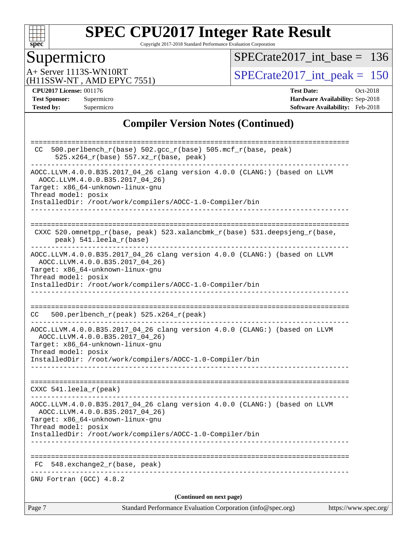

Copyright 2017-2018 Standard Performance Evaluation Corporation

# Supermicro<br>A+ Server 1113S-WN10RT

[SPECrate2017\\_int\\_base =](http://www.spec.org/auto/cpu2017/Docs/result-fields.html#SPECrate2017intbase) 136

(H11SSW-NT , AMD EPYC 7551)

 $SPECTate 2017\_int\_peak = 150$ 

**[CPU2017 License:](http://www.spec.org/auto/cpu2017/Docs/result-fields.html#CPU2017License)** 001176 **[Test Date:](http://www.spec.org/auto/cpu2017/Docs/result-fields.html#TestDate)** Oct-2018

**[Test Sponsor:](http://www.spec.org/auto/cpu2017/Docs/result-fields.html#TestSponsor)** Supermicro **[Hardware Availability:](http://www.spec.org/auto/cpu2017/Docs/result-fields.html#HardwareAvailability)** Sep-2018 **[Tested by:](http://www.spec.org/auto/cpu2017/Docs/result-fields.html#Testedby)** Supermicro **[Software Availability:](http://www.spec.org/auto/cpu2017/Docs/result-fields.html#SoftwareAvailability)** Feb-2018

### **[Compiler Version Notes \(Continued\)](http://www.spec.org/auto/cpu2017/Docs/result-fields.html#CompilerVersionNotes)**

| Standard Performance Evaluation Corporation (info@spec.org)<br>Page 7                                                                                                                                                                | https://www.spec.org/ |
|--------------------------------------------------------------------------------------------------------------------------------------------------------------------------------------------------------------------------------------|-----------------------|
| (Continued on next page)                                                                                                                                                                                                             |                       |
| GNU Fortran (GCC) 4.8.2                                                                                                                                                                                                              |                       |
| 548.exchange2_r(base, peak)<br>FC                                                                                                                                                                                                    |                       |
| Target: x86_64-unknown-linux-gnu<br>Thread model: posix<br>InstalledDir: /root/work/compilers/AOCC-1.0-Compiler/bin                                                                                                                  |                       |
| AOCC.LLVM.4.0.0.B35.2017_04_26 clang version 4.0.0 (CLANG:) (based on LLVM<br>AOCC.LLVM.4.0.0.B35.2017_04_26)                                                                                                                        |                       |
| CXXC 541.leela_r(peak)                                                                                                                                                                                                               |                       |
| AOCC.LLVM.4.0.0.B35.2017_04_26 clang version 4.0.0 (CLANG:) (based on LLVM<br>AOCC.LLVM.4.0.0.B35.2017_04_26)<br>Target: x86_64-unknown-linux-gnu<br>Thread model: posix<br>InstalledDir: /root/work/compilers/AOCC-1.0-Compiler/bin |                       |
| 500.perlbench_r(peak) 525.x264_r(peak)<br>CC.                                                                                                                                                                                        |                       |
| AOCC.LLVM.4.0.0.B35.2017_04_26 clang version 4.0.0 (CLANG:) (based on LLVM<br>AOCC.LLVM.4.0.0.B35.2017_04_26)<br>Target: x86_64-unknown-linux-gnu<br>Thread model: posix<br>InstalledDir: /root/work/compilers/AOCC-1.0-Compiler/bin |                       |
| CXXC 520.omnetpp_r(base, peak) 523.xalancbmk_r(base) 531.deepsjeng_r(base,<br>peak) 541.leela_r(base)                                                                                                                                |                       |
| AOCC.LLVM.4.0.0.B35.2017_04_26)<br>Target: x86_64-unknown-linux-gnu<br>Thread model: posix<br>InstalledDir: /root/work/compilers/AOCC-1.0-Compiler/bin                                                                               |                       |
| 500.perlbench_r(base) 502.gcc_r(base) 505.mcf_r(base, peak)<br>CC.<br>525.x264_r(base) 557.xz_r(base, peak)<br>AOCC.LLVM.4.0.0.B35.2017_04_26 clang version 4.0.0 (CLANG:) (based on LLVM                                            |                       |
|                                                                                                                                                                                                                                      |                       |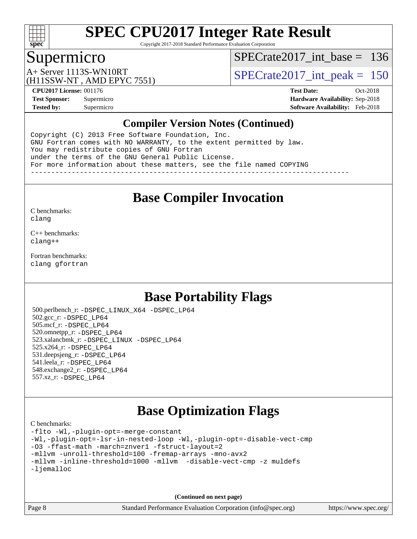

Copyright 2017-2018 Standard Performance Evaluation Corporation

### Supermicro

[SPECrate2017\\_int\\_base =](http://www.spec.org/auto/cpu2017/Docs/result-fields.html#SPECrate2017intbase) 136

(H11SSW-NT , AMD EPYC 7551)

 $A+$  Server 1113S-WN10RT  $S$ PECrate2017\_int\_peak = 150

**[CPU2017 License:](http://www.spec.org/auto/cpu2017/Docs/result-fields.html#CPU2017License)** 001176 **[Test Date:](http://www.spec.org/auto/cpu2017/Docs/result-fields.html#TestDate)** Oct-2018 **[Test Sponsor:](http://www.spec.org/auto/cpu2017/Docs/result-fields.html#TestSponsor)** Supermicro **[Hardware Availability:](http://www.spec.org/auto/cpu2017/Docs/result-fields.html#HardwareAvailability)** Sep-2018 **[Tested by:](http://www.spec.org/auto/cpu2017/Docs/result-fields.html#Testedby)** Supermicro **[Software Availability:](http://www.spec.org/auto/cpu2017/Docs/result-fields.html#SoftwareAvailability)** Feb-2018

#### **[Compiler Version Notes \(Continued\)](http://www.spec.org/auto/cpu2017/Docs/result-fields.html#CompilerVersionNotes)**

Copyright (C) 2013 Free Software Foundation, Inc. GNU Fortran comes with NO WARRANTY, to the extent permitted by law. You may redistribute copies of GNU Fortran under the terms of the GNU General Public License. For more information about these matters, see the file named COPYING ------------------------------------------------------------------------------

## **[Base Compiler Invocation](http://www.spec.org/auto/cpu2017/Docs/result-fields.html#BaseCompilerInvocation)**

[C benchmarks](http://www.spec.org/auto/cpu2017/Docs/result-fields.html#Cbenchmarks): [clang](http://www.spec.org/cpu2017/results/res2018q4/cpu2017-20181112-09562.flags.html#user_CCbase_Fclang3_a68b77bfed473bd9cdd22529af008e8306c2e3948617c8991604c1a2000ee4a73ef90dd8bc793e105fe4165a625d26dacbda4708d828ad19048918c071b363ec)

[C++ benchmarks:](http://www.spec.org/auto/cpu2017/Docs/result-fields.html#CXXbenchmarks) [clang++](http://www.spec.org/cpu2017/results/res2018q4/cpu2017-20181112-09562.flags.html#user_CXXbase_Fclang3_57a48582e5be507d19b2527b3e7d4f85d9b8669ffc9a8a0dbb9bcf949a918a58bbab411e0c4d14a3922022a3e425a90db94042683824c1806feff4324ca1000d)

[Fortran benchmarks](http://www.spec.org/auto/cpu2017/Docs/result-fields.html#Fortranbenchmarks): [clang](http://www.spec.org/cpu2017/results/res2018q4/cpu2017-20181112-09562.flags.html#user_FCbase_Fclang3_a68b77bfed473bd9cdd22529af008e8306c2e3948617c8991604c1a2000ee4a73ef90dd8bc793e105fe4165a625d26dacbda4708d828ad19048918c071b363ec) [gfortran](http://www.spec.org/cpu2017/results/res2018q4/cpu2017-20181112-09562.flags.html#user_FCbase_aocc-gfortran_128c91a56d61ddb07404721e65b8f9498c31a443dacbd3b7f212891090eca86e2d099b520f75b99e9e8ac4fdec01f4d15f0b65e47123ec4c42b0759045731a1f)

### **[Base Portability Flags](http://www.spec.org/auto/cpu2017/Docs/result-fields.html#BasePortabilityFlags)**

 500.perlbench\_r: [-DSPEC\\_LINUX\\_X64](http://www.spec.org/cpu2017/results/res2018q4/cpu2017-20181112-09562.flags.html#b500.perlbench_r_basePORTABILITY_DSPEC_LINUX_X64) [-DSPEC\\_LP64](http://www.spec.org/cpu2017/results/res2018q4/cpu2017-20181112-09562.flags.html#b500.perlbench_r_baseEXTRA_PORTABILITY_DSPEC_LP64) 502.gcc\_r: [-DSPEC\\_LP64](http://www.spec.org/cpu2017/results/res2018q4/cpu2017-20181112-09562.flags.html#suite_baseEXTRA_PORTABILITY502_gcc_r_DSPEC_LP64) 505.mcf\_r: [-DSPEC\\_LP64](http://www.spec.org/cpu2017/results/res2018q4/cpu2017-20181112-09562.flags.html#suite_baseEXTRA_PORTABILITY505_mcf_r_DSPEC_LP64) 520.omnetpp\_r: [-DSPEC\\_LP64](http://www.spec.org/cpu2017/results/res2018q4/cpu2017-20181112-09562.flags.html#suite_baseEXTRA_PORTABILITY520_omnetpp_r_DSPEC_LP64) 523.xalancbmk\_r: [-DSPEC\\_LINUX](http://www.spec.org/cpu2017/results/res2018q4/cpu2017-20181112-09562.flags.html#b523.xalancbmk_r_basePORTABILITY_DSPEC_LINUX) [-DSPEC\\_LP64](http://www.spec.org/cpu2017/results/res2018q4/cpu2017-20181112-09562.flags.html#suite_baseEXTRA_PORTABILITY523_xalancbmk_r_DSPEC_LP64) 525.x264\_r: [-DSPEC\\_LP64](http://www.spec.org/cpu2017/results/res2018q4/cpu2017-20181112-09562.flags.html#suite_baseEXTRA_PORTABILITY525_x264_r_DSPEC_LP64) 531.deepsjeng\_r: [-DSPEC\\_LP64](http://www.spec.org/cpu2017/results/res2018q4/cpu2017-20181112-09562.flags.html#suite_baseEXTRA_PORTABILITY531_deepsjeng_r_DSPEC_LP64) 541.leela\_r: [-DSPEC\\_LP64](http://www.spec.org/cpu2017/results/res2018q4/cpu2017-20181112-09562.flags.html#suite_baseEXTRA_PORTABILITY541_leela_r_DSPEC_LP64) 548.exchange2\_r: [-DSPEC\\_LP64](http://www.spec.org/cpu2017/results/res2018q4/cpu2017-20181112-09562.flags.html#suite_baseEXTRA_PORTABILITY548_exchange2_r_DSPEC_LP64) 557.xz\_r: [-DSPEC\\_LP64](http://www.spec.org/cpu2017/results/res2018q4/cpu2017-20181112-09562.flags.html#suite_baseEXTRA_PORTABILITY557_xz_r_DSPEC_LP64)

# **[Base Optimization Flags](http://www.spec.org/auto/cpu2017/Docs/result-fields.html#BaseOptimizationFlags)**

[C benchmarks](http://www.spec.org/auto/cpu2017/Docs/result-fields.html#Cbenchmarks):

```
-flto -Wl,-plugin-opt=-merge-constant
-Wl,-plugin-opt=-lsr-in-nested-loop -Wl,-plugin-opt=-disable-vect-cmp
-O3 -ffast-math -march=znver1 -fstruct-layout=2
-mllvm -unroll-threshold=100 -fremap-arrays -mno-avx2
-mllvm -inline-threshold=1000 -mllvm -disable-vect-cmp -z muldefs
-ljemalloc
```
**(Continued on next page)**

Page 8 Standard Performance Evaluation Corporation [\(info@spec.org\)](mailto:info@spec.org) <https://www.spec.org/>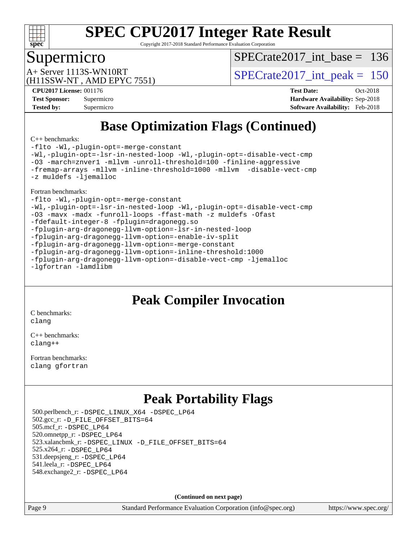

Copyright 2017-2018 Standard Performance Evaluation Corporation

### Supermicro

[SPECrate2017\\_int\\_base =](http://www.spec.org/auto/cpu2017/Docs/result-fields.html#SPECrate2017intbase) 136

(H11SSW-NT , AMD EPYC 7551)

 $A+$  Server 1113S-WN10RT  $S$ PECrate2017\_int\_peak = 150

**[CPU2017 License:](http://www.spec.org/auto/cpu2017/Docs/result-fields.html#CPU2017License)** 001176 **[Test Date:](http://www.spec.org/auto/cpu2017/Docs/result-fields.html#TestDate)** Oct-2018 **[Test Sponsor:](http://www.spec.org/auto/cpu2017/Docs/result-fields.html#TestSponsor)** Supermicro **[Hardware Availability:](http://www.spec.org/auto/cpu2017/Docs/result-fields.html#HardwareAvailability)** Sep-2018 **[Tested by:](http://www.spec.org/auto/cpu2017/Docs/result-fields.html#Testedby)** Supermicro **[Software Availability:](http://www.spec.org/auto/cpu2017/Docs/result-fields.html#SoftwareAvailability)** Feb-2018

# **[Base Optimization Flags \(Continued\)](http://www.spec.org/auto/cpu2017/Docs/result-fields.html#BaseOptimizationFlags)**

[C++ benchmarks:](http://www.spec.org/auto/cpu2017/Docs/result-fields.html#CXXbenchmarks)

[-flto](http://www.spec.org/cpu2017/results/res2018q4/cpu2017-20181112-09562.flags.html#user_CXXbase_lto) [-Wl,-plugin-opt=-merge-constant](http://www.spec.org/cpu2017/results/res2018q4/cpu2017-20181112-09562.flags.html#user_CXXbase_F-merge-constant_1d79771b5442061d9c8e05556c6b0c655e6c9e66f8c6936b0129d434b6acd2b1cf1b7cd2540d1570ff636111b08a6bc36e2e61fc34531f8ef7c1a34c57be1dbb) [-Wl,-plugin-opt=-lsr-in-nested-loop](http://www.spec.org/cpu2017/results/res2018q4/cpu2017-20181112-09562.flags.html#user_CXXbase_lsr-in-nested-loop_1cff93fd95162f5e77640b5271e8bed680fb62b4a8d96fb8ab217ff3244646f1fbb342e31af83c263403bbf5249c7dc7732d5c86c3eab4cc8d32dcb7a6f33ca0) [-Wl,-plugin-opt=-disable-vect-cmp](http://www.spec.org/cpu2017/results/res2018q4/cpu2017-20181112-09562.flags.html#user_CXXbase_disable-vect-cmp_1056b9a09b8ddc126e023b5f99ae33179ef568835465af9b7adeacf4b6480ff575c8aee439265bcfbcbf086f33f2fa5cca2bc4cf52b64c0cd2e10f6503cba02d) [-O3](http://www.spec.org/cpu2017/results/res2018q4/cpu2017-20181112-09562.flags.html#user_CXXbase_F-O3) [-march=znver1](http://www.spec.org/cpu2017/results/res2018q4/cpu2017-20181112-09562.flags.html#user_CXXbase_F-march) [-mllvm -unroll-threshold=100](http://www.spec.org/cpu2017/results/res2018q4/cpu2017-20181112-09562.flags.html#user_CXXbase_F-unroll-threshold_2755d0c78138845d361fa1543e3a063fffa198df9b3edf0cfb856bbc88a81e1769b12ac7a550c5d35197be55360db1a3f95a8d1304df999456cabf5120c45168) [-finline-aggressive](http://www.spec.org/cpu2017/results/res2018q4/cpu2017-20181112-09562.flags.html#user_CXXbase_F-finline-aggressive) [-fremap-arrays](http://www.spec.org/cpu2017/results/res2018q4/cpu2017-20181112-09562.flags.html#user_CXXbase_F-fremap-arrays) [-mllvm -inline-threshold=1000](http://www.spec.org/cpu2017/results/res2018q4/cpu2017-20181112-09562.flags.html#user_CXXbase_inline-threshold_b7832241b0a6397e4ecdbaf0eb7defdc10f885c2a282fa3240fdc99844d543fda39cf8a4a9dccf68cf19b5438ac3b455264f478df15da0f4988afa40d8243bab) [-mllvm -disable-vect-cmp](http://www.spec.org/cpu2017/results/res2018q4/cpu2017-20181112-09562.flags.html#user_CXXbase_disable-vect-cmp_d995c9eb800469498c6893dc847c54c903d59847b18cb2ac22011b9af7010c96d2d48d3c6b41246fe86945001509aa4dc528afb61cb238fd3b256a31781ea0cf) [-z muldefs](http://www.spec.org/cpu2017/results/res2018q4/cpu2017-20181112-09562.flags.html#user_CXXbase_F-z-muldefs) [-ljemalloc](http://www.spec.org/cpu2017/results/res2018q4/cpu2017-20181112-09562.flags.html#user_CXXbase_jemalloc-lib_d1249b907c500fa1c0672f44f562e3d0f79738ae9e3c4a9c376d49f265a04b9c99b167ecedbf6711b3085be911c67ff61f150a17b3472be731631ba4d0471706)

[Fortran benchmarks](http://www.spec.org/auto/cpu2017/Docs/result-fields.html#Fortranbenchmarks):

[-flto](http://www.spec.org/cpu2017/results/res2018q4/cpu2017-20181112-09562.flags.html#user_FCbase_lto) [-Wl,-plugin-opt=-merge-constant](http://www.spec.org/cpu2017/results/res2018q4/cpu2017-20181112-09562.flags.html#user_FCbase_F-merge-constant_1d79771b5442061d9c8e05556c6b0c655e6c9e66f8c6936b0129d434b6acd2b1cf1b7cd2540d1570ff636111b08a6bc36e2e61fc34531f8ef7c1a34c57be1dbb) [-Wl,-plugin-opt=-lsr-in-nested-loop](http://www.spec.org/cpu2017/results/res2018q4/cpu2017-20181112-09562.flags.html#user_FCbase_lsr-in-nested-loop_1cff93fd95162f5e77640b5271e8bed680fb62b4a8d96fb8ab217ff3244646f1fbb342e31af83c263403bbf5249c7dc7732d5c86c3eab4cc8d32dcb7a6f33ca0) [-Wl,-plugin-opt=-disable-vect-cmp](http://www.spec.org/cpu2017/results/res2018q4/cpu2017-20181112-09562.flags.html#user_FCbase_disable-vect-cmp_1056b9a09b8ddc126e023b5f99ae33179ef568835465af9b7adeacf4b6480ff575c8aee439265bcfbcbf086f33f2fa5cca2bc4cf52b64c0cd2e10f6503cba02d) [-O3](http://www.spec.org/cpu2017/results/res2018q4/cpu2017-20181112-09562.flags.html#user_FCbase_F-O3) [-mavx](http://www.spec.org/cpu2017/results/res2018q4/cpu2017-20181112-09562.flags.html#user_FCbase_F-mavx) [-madx](http://www.spec.org/cpu2017/results/res2018q4/cpu2017-20181112-09562.flags.html#user_FCbase_F-madx) [-funroll-loops](http://www.spec.org/cpu2017/results/res2018q4/cpu2017-20181112-09562.flags.html#user_FCbase_aocc-funroll-loops) [-ffast-math](http://www.spec.org/cpu2017/results/res2018q4/cpu2017-20181112-09562.flags.html#user_FCbase_F-aocc-ffast-math_78dd175de6534c2005829757b9b0f2878e57b067cce6f7c443b2250ac68890960e2e1b320ca04b81ff7c62c6f87870ed05f06baf7875eea2990d38e3b73c71f1) [-z muldefs](http://www.spec.org/cpu2017/results/res2018q4/cpu2017-20181112-09562.flags.html#user_FCbase_F-z-muldefs) [-Ofast](http://www.spec.org/cpu2017/results/res2018q4/cpu2017-20181112-09562.flags.html#user_FCbase_F-aocc-Ofast) [-fdefault-integer-8](http://www.spec.org/cpu2017/results/res2018q4/cpu2017-20181112-09562.flags.html#user_FCbase_F-fdefault-integer-8) [-fplugin=dragonegg.so](http://www.spec.org/cpu2017/results/res2018q4/cpu2017-20181112-09562.flags.html#user_FCbase_F-fpluginDragonEgg) [-fplugin-arg-dragonegg-llvm-option=-lsr-in-nested-loop](http://www.spec.org/cpu2017/results/res2018q4/cpu2017-20181112-09562.flags.html#user_FCbase_lsr-in-nested-loop_9d50e9a5bf5413862ef575cb99c4306f28354df375c817cbae12d1ca2160727959926001e898e7562b79430b7fa444a8df2254024818720af45ad007761bc4a7) [-fplugin-arg-dragonegg-llvm-option=-enable-iv-split](http://www.spec.org/cpu2017/results/res2018q4/cpu2017-20181112-09562.flags.html#user_FCbase_F-enable-iv-split_5dd88da1d43c18bd75cbdf250cf834c2151012bf076ae854827e69c5249e03739713e176d494b70eccfdbb757c13240bb0c8f0dd1fe462f4542b1525161a1ac7) [-fplugin-arg-dragonegg-llvm-option=-merge-constant](http://www.spec.org/cpu2017/results/res2018q4/cpu2017-20181112-09562.flags.html#user_FCbase_F-merge-constant_37fd66d07a4fbae8f1b816e843c3ed1ebaa48f794b65ea8be746a1880566a3d23eba4a3c37b5c024650311adcf9247c62af28144803b3729b14be14423fa5142) [-fplugin-arg-dragonegg-llvm-option=-inline-threshold:1000](http://www.spec.org/cpu2017/results/res2018q4/cpu2017-20181112-09562.flags.html#user_FCbase_inline-threshold_eec74946bf81becf626625ea3f1757217b7f1e09b0c056df6f4a6dc542562255a9e8a6d36c454b3b2ed3e147f40cf87a14a68e01ad47a8b90b49f15f387f919f) [-fplugin-arg-dragonegg-llvm-option=-disable-vect-cmp](http://www.spec.org/cpu2017/results/res2018q4/cpu2017-20181112-09562.flags.html#user_FCbase_disable-vect-cmp_d119dd6f96524d64dc477d5e6a72268aebe046b42f767098038bf7530fc0cc546dd329b2376104fde185baca14f7365ef86ccd3ff602b57a7839de005478f594) [-ljemalloc](http://www.spec.org/cpu2017/results/res2018q4/cpu2017-20181112-09562.flags.html#user_FCbase_jemalloc-lib_d1249b907c500fa1c0672f44f562e3d0f79738ae9e3c4a9c376d49f265a04b9c99b167ecedbf6711b3085be911c67ff61f150a17b3472be731631ba4d0471706) [-lgfortran](http://www.spec.org/cpu2017/results/res2018q4/cpu2017-20181112-09562.flags.html#user_FCbase_F-lgfortran) [-lamdlibm](http://www.spec.org/cpu2017/results/res2018q4/cpu2017-20181112-09562.flags.html#user_FCbase_F-lamdlibm)

# **[Peak Compiler Invocation](http://www.spec.org/auto/cpu2017/Docs/result-fields.html#PeakCompilerInvocation)**

[C benchmarks](http://www.spec.org/auto/cpu2017/Docs/result-fields.html#Cbenchmarks): [clang](http://www.spec.org/cpu2017/results/res2018q4/cpu2017-20181112-09562.flags.html#user_CCpeak_Fclang3_a68b77bfed473bd9cdd22529af008e8306c2e3948617c8991604c1a2000ee4a73ef90dd8bc793e105fe4165a625d26dacbda4708d828ad19048918c071b363ec)

[C++ benchmarks:](http://www.spec.org/auto/cpu2017/Docs/result-fields.html#CXXbenchmarks) [clang++](http://www.spec.org/cpu2017/results/res2018q4/cpu2017-20181112-09562.flags.html#user_CXXpeak_Fclang3_57a48582e5be507d19b2527b3e7d4f85d9b8669ffc9a8a0dbb9bcf949a918a58bbab411e0c4d14a3922022a3e425a90db94042683824c1806feff4324ca1000d)

[Fortran benchmarks](http://www.spec.org/auto/cpu2017/Docs/result-fields.html#Fortranbenchmarks): [clang](http://www.spec.org/cpu2017/results/res2018q4/cpu2017-20181112-09562.flags.html#user_FCpeak_Fclang3_a68b77bfed473bd9cdd22529af008e8306c2e3948617c8991604c1a2000ee4a73ef90dd8bc793e105fe4165a625d26dacbda4708d828ad19048918c071b363ec) [gfortran](http://www.spec.org/cpu2017/results/res2018q4/cpu2017-20181112-09562.flags.html#user_FCpeak_aocc-gfortran_128c91a56d61ddb07404721e65b8f9498c31a443dacbd3b7f212891090eca86e2d099b520f75b99e9e8ac4fdec01f4d15f0b65e47123ec4c42b0759045731a1f)

# **[Peak Portability Flags](http://www.spec.org/auto/cpu2017/Docs/result-fields.html#PeakPortabilityFlags)**

 500.perlbench\_r: [-DSPEC\\_LINUX\\_X64](http://www.spec.org/cpu2017/results/res2018q4/cpu2017-20181112-09562.flags.html#b500.perlbench_r_peakPORTABILITY_DSPEC_LINUX_X64) [-DSPEC\\_LP64](http://www.spec.org/cpu2017/results/res2018q4/cpu2017-20181112-09562.flags.html#b500.perlbench_r_peakEXTRA_PORTABILITY_DSPEC_LP64) 502.gcc\_r: [-D\\_FILE\\_OFFSET\\_BITS=64](http://www.spec.org/cpu2017/results/res2018q4/cpu2017-20181112-09562.flags.html#user_peakEXTRA_PORTABILITY502_gcc_r_F-D_FILE_OFFSET_BITS_5ae949a99b284ddf4e95728d47cb0843d81b2eb0e18bdfe74bbf0f61d0b064f4bda2f10ea5eb90e1dcab0e84dbc592acfc5018bc955c18609f94ddb8d550002c) 505.mcf\_r: [-DSPEC\\_LP64](http://www.spec.org/cpu2017/results/res2018q4/cpu2017-20181112-09562.flags.html#suite_peakEXTRA_PORTABILITY505_mcf_r_DSPEC_LP64) 520.omnetpp\_r: [-DSPEC\\_LP64](http://www.spec.org/cpu2017/results/res2018q4/cpu2017-20181112-09562.flags.html#suite_peakEXTRA_PORTABILITY520_omnetpp_r_DSPEC_LP64) 523.xalancbmk\_r: [-DSPEC\\_LINUX](http://www.spec.org/cpu2017/results/res2018q4/cpu2017-20181112-09562.flags.html#b523.xalancbmk_r_peakPORTABILITY_DSPEC_LINUX) [-D\\_FILE\\_OFFSET\\_BITS=64](http://www.spec.org/cpu2017/results/res2018q4/cpu2017-20181112-09562.flags.html#user_peakEXTRA_PORTABILITY523_xalancbmk_r_F-D_FILE_OFFSET_BITS_5ae949a99b284ddf4e95728d47cb0843d81b2eb0e18bdfe74bbf0f61d0b064f4bda2f10ea5eb90e1dcab0e84dbc592acfc5018bc955c18609f94ddb8d550002c) 525.x264\_r: [-DSPEC\\_LP64](http://www.spec.org/cpu2017/results/res2018q4/cpu2017-20181112-09562.flags.html#suite_peakEXTRA_PORTABILITY525_x264_r_DSPEC_LP64) 531.deepsjeng\_r: [-DSPEC\\_LP64](http://www.spec.org/cpu2017/results/res2018q4/cpu2017-20181112-09562.flags.html#suite_peakEXTRA_PORTABILITY531_deepsjeng_r_DSPEC_LP64) 541.leela\_r: [-DSPEC\\_LP64](http://www.spec.org/cpu2017/results/res2018q4/cpu2017-20181112-09562.flags.html#suite_peakEXTRA_PORTABILITY541_leela_r_DSPEC_LP64) 548.exchange2\_r: [-DSPEC\\_LP64](http://www.spec.org/cpu2017/results/res2018q4/cpu2017-20181112-09562.flags.html#suite_peakEXTRA_PORTABILITY548_exchange2_r_DSPEC_LP64)

**(Continued on next page)**

Page 9 Standard Performance Evaluation Corporation [\(info@spec.org\)](mailto:info@spec.org) <https://www.spec.org/>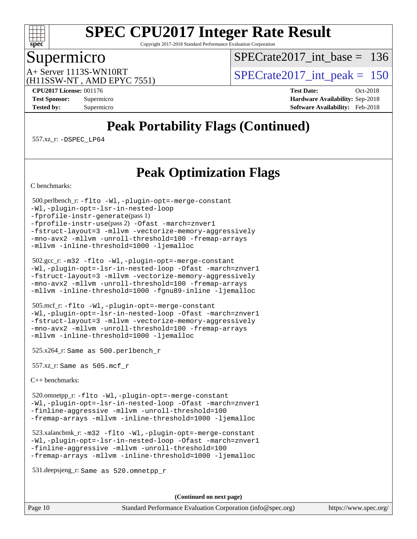

Copyright 2017-2018 Standard Performance Evaluation Corporation

### Supermicro

 $SPECrate2017\_int\_base = 136$ 

(H11SSW-NT , AMD EPYC 7551)

 $A+$  Server 1113S-WN10RT  $S$ PECrate2017\_int\_peak = 150

**[CPU2017 License:](http://www.spec.org/auto/cpu2017/Docs/result-fields.html#CPU2017License)** 001176 **[Test Date:](http://www.spec.org/auto/cpu2017/Docs/result-fields.html#TestDate)** Oct-2018 **[Test Sponsor:](http://www.spec.org/auto/cpu2017/Docs/result-fields.html#TestSponsor)** Supermicro **[Hardware Availability:](http://www.spec.org/auto/cpu2017/Docs/result-fields.html#HardwareAvailability)** Sep-2018 **[Tested by:](http://www.spec.org/auto/cpu2017/Docs/result-fields.html#Testedby)** Supermicro **[Software Availability:](http://www.spec.org/auto/cpu2017/Docs/result-fields.html#SoftwareAvailability)** Feb-2018

# **[Peak Portability Flags \(Continued\)](http://www.spec.org/auto/cpu2017/Docs/result-fields.html#PeakPortabilityFlags)**

557.xz\_r: [-DSPEC\\_LP64](http://www.spec.org/cpu2017/results/res2018q4/cpu2017-20181112-09562.flags.html#suite_peakEXTRA_PORTABILITY557_xz_r_DSPEC_LP64)

## **[Peak Optimization Flags](http://www.spec.org/auto/cpu2017/Docs/result-fields.html#PeakOptimizationFlags)**

[C benchmarks](http://www.spec.org/auto/cpu2017/Docs/result-fields.html#Cbenchmarks):

```
 500.perlbench_r: -flto -Wl,-plugin-opt=-merge-constant
-Wl,-plugin-opt=-lsr-in-nested-loop
-fprofile-instr-generate(pass 1)
-fprofile-instr-use(pass 2) -Ofast -march=znver1
-fstruct-layout=3 -mllvm -vectorize-memory-aggressively
-mno-avx2 -mllvm -unroll-threshold=100 -fremap-arrays
-mllvm -inline-threshold=1000 -ljemalloc
```

```
 502.gcc_r: -m32 -flto -Wl,-plugin-opt=-merge-constant
-Wl,-plugin-opt=-lsr-in-nested-loop -Ofast -march=znver1
-fstruct-layout=3 -mllvm -vectorize-memory-aggressively
-mno-avx2 -mllvm -unroll-threshold=100 -fremap-arrays
-mllvm -inline-threshold=1000 -fgnu89-inline -ljemalloc
```

```
 505.mcf_r: -flto -Wl,-plugin-opt=-merge-constant
-Wl,-plugin-opt=-lsr-in-nested-loop -Ofast -march=znver1
-fstruct-layout=3 -mllvm -vectorize-memory-aggressively
-mno-avx2 -mllvm -unroll-threshold=100 -fremap-arrays
-mllvm -inline-threshold=1000 -ljemalloc
```
525.x264\_r: Same as 500.perlbench\_r

557.xz\_r: Same as 505.mcf\_r

[C++ benchmarks:](http://www.spec.org/auto/cpu2017/Docs/result-fields.html#CXXbenchmarks)

 520.omnetpp\_r: [-flto](http://www.spec.org/cpu2017/results/res2018q4/cpu2017-20181112-09562.flags.html#user_peakCXXOPTIMIZEEXTRA_LDFLAGS520_omnetpp_r_lto) [-Wl,-plugin-opt=-merge-constant](http://www.spec.org/cpu2017/results/res2018q4/cpu2017-20181112-09562.flags.html#user_peakEXTRA_LDFLAGS520_omnetpp_r_F-merge-constant_1d79771b5442061d9c8e05556c6b0c655e6c9e66f8c6936b0129d434b6acd2b1cf1b7cd2540d1570ff636111b08a6bc36e2e61fc34531f8ef7c1a34c57be1dbb) [-Wl,-plugin-opt=-lsr-in-nested-loop](http://www.spec.org/cpu2017/results/res2018q4/cpu2017-20181112-09562.flags.html#user_peakEXTRA_LDFLAGS520_omnetpp_r_lsr-in-nested-loop_1cff93fd95162f5e77640b5271e8bed680fb62b4a8d96fb8ab217ff3244646f1fbb342e31af83c263403bbf5249c7dc7732d5c86c3eab4cc8d32dcb7a6f33ca0) [-Ofast](http://www.spec.org/cpu2017/results/res2018q4/cpu2017-20181112-09562.flags.html#user_peakCXXOPTIMIZE520_omnetpp_r_F-aocc-Ofast) [-march=znver1](http://www.spec.org/cpu2017/results/res2018q4/cpu2017-20181112-09562.flags.html#user_peakCXXOPTIMIZE520_omnetpp_r_F-march) [-finline-aggressive](http://www.spec.org/cpu2017/results/res2018q4/cpu2017-20181112-09562.flags.html#user_peakCXXOPTIMIZE520_omnetpp_r_F-finline-aggressive) [-mllvm -unroll-threshold=100](http://www.spec.org/cpu2017/results/res2018q4/cpu2017-20181112-09562.flags.html#user_peakCXXOPTIMIZE520_omnetpp_r_F-unroll-threshold_2755d0c78138845d361fa1543e3a063fffa198df9b3edf0cfb856bbc88a81e1769b12ac7a550c5d35197be55360db1a3f95a8d1304df999456cabf5120c45168) [-fremap-arrays](http://www.spec.org/cpu2017/results/res2018q4/cpu2017-20181112-09562.flags.html#user_peakCXXOPTIMIZE520_omnetpp_r_F-fremap-arrays) [-mllvm -inline-threshold=1000](http://www.spec.org/cpu2017/results/res2018q4/cpu2017-20181112-09562.flags.html#user_peakCXXOPTIMIZE520_omnetpp_r_inline-threshold_b7832241b0a6397e4ecdbaf0eb7defdc10f885c2a282fa3240fdc99844d543fda39cf8a4a9dccf68cf19b5438ac3b455264f478df15da0f4988afa40d8243bab) [-ljemalloc](http://www.spec.org/cpu2017/results/res2018q4/cpu2017-20181112-09562.flags.html#user_peakEXTRA_LIBS520_omnetpp_r_jemalloc-lib_d1249b907c500fa1c0672f44f562e3d0f79738ae9e3c4a9c376d49f265a04b9c99b167ecedbf6711b3085be911c67ff61f150a17b3472be731631ba4d0471706)

 523.xalancbmk\_r: [-m32](http://www.spec.org/cpu2017/results/res2018q4/cpu2017-20181112-09562.flags.html#user_peakCXXLD523_xalancbmk_r_F-m32) [-flto](http://www.spec.org/cpu2017/results/res2018q4/cpu2017-20181112-09562.flags.html#user_peakCXXOPTIMIZEEXTRA_LDFLAGS523_xalancbmk_r_lto) [-Wl,-plugin-opt=-merge-constant](http://www.spec.org/cpu2017/results/res2018q4/cpu2017-20181112-09562.flags.html#user_peakEXTRA_LDFLAGS523_xalancbmk_r_F-merge-constant_1d79771b5442061d9c8e05556c6b0c655e6c9e66f8c6936b0129d434b6acd2b1cf1b7cd2540d1570ff636111b08a6bc36e2e61fc34531f8ef7c1a34c57be1dbb) [-Wl,-plugin-opt=-lsr-in-nested-loop](http://www.spec.org/cpu2017/results/res2018q4/cpu2017-20181112-09562.flags.html#user_peakEXTRA_LDFLAGS523_xalancbmk_r_lsr-in-nested-loop_1cff93fd95162f5e77640b5271e8bed680fb62b4a8d96fb8ab217ff3244646f1fbb342e31af83c263403bbf5249c7dc7732d5c86c3eab4cc8d32dcb7a6f33ca0) [-Ofast](http://www.spec.org/cpu2017/results/res2018q4/cpu2017-20181112-09562.flags.html#user_peakCXXOPTIMIZE523_xalancbmk_r_F-aocc-Ofast) [-march=znver1](http://www.spec.org/cpu2017/results/res2018q4/cpu2017-20181112-09562.flags.html#user_peakCXXOPTIMIZE523_xalancbmk_r_F-march) [-finline-aggressive](http://www.spec.org/cpu2017/results/res2018q4/cpu2017-20181112-09562.flags.html#user_peakCXXOPTIMIZE523_xalancbmk_r_F-finline-aggressive) [-mllvm -unroll-threshold=100](http://www.spec.org/cpu2017/results/res2018q4/cpu2017-20181112-09562.flags.html#user_peakCXXOPTIMIZE523_xalancbmk_r_F-unroll-threshold_2755d0c78138845d361fa1543e3a063fffa198df9b3edf0cfb856bbc88a81e1769b12ac7a550c5d35197be55360db1a3f95a8d1304df999456cabf5120c45168) [-fremap-arrays](http://www.spec.org/cpu2017/results/res2018q4/cpu2017-20181112-09562.flags.html#user_peakCXXOPTIMIZE523_xalancbmk_r_F-fremap-arrays) [-mllvm -inline-threshold=1000](http://www.spec.org/cpu2017/results/res2018q4/cpu2017-20181112-09562.flags.html#user_peakCXXOPTIMIZE523_xalancbmk_r_inline-threshold_b7832241b0a6397e4ecdbaf0eb7defdc10f885c2a282fa3240fdc99844d543fda39cf8a4a9dccf68cf19b5438ac3b455264f478df15da0f4988afa40d8243bab) [-ljemalloc](http://www.spec.org/cpu2017/results/res2018q4/cpu2017-20181112-09562.flags.html#user_peakEXTRA_LIBS523_xalancbmk_r_jemalloc-lib_d1249b907c500fa1c0672f44f562e3d0f79738ae9e3c4a9c376d49f265a04b9c99b167ecedbf6711b3085be911c67ff61f150a17b3472be731631ba4d0471706)

531.deepsjeng\_r: Same as 520.omnetpp\_r

**(Continued on next page)**